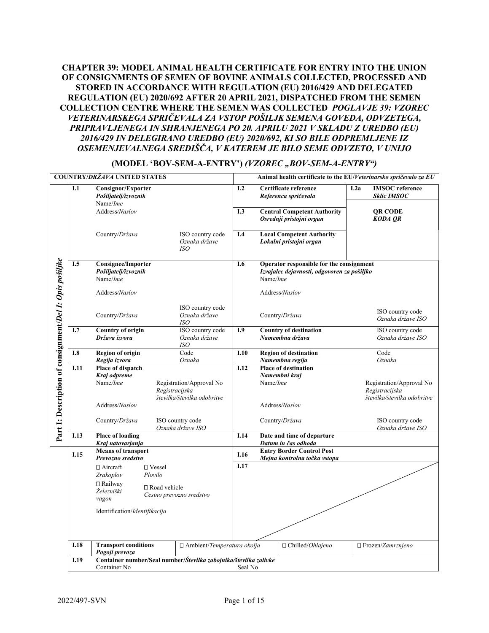# **CHAPTER 39: MODEL ANIMAL HEALTH CERTIFICATE FOR ENTRY INTO THE UNION OF CONSIGNMENTS OF SEMEN OF BOVINE ANIMALS COLLECTED, PROCESSED AND STORED IN ACCORDANCE WITH REGULATION (EU) 2016/429 AND DELEGATED REGULATION (EU) 2020/692 AFTER 20 APRIL 2021, DISPATCHED FROM THE SEMEN COLLECTION CENTRE WHERE THE SEMEN WAS COLLECTED** *POGLAVJE 39: VZOREC VETERINARSKEGA SPRIČEVALA ZA VSTOP POŠILJK SEMENA GOVEDA, ODVZETEGA, PRIPRAVLJENEGA IN SHRANJENEGA PO 20. APRILU 2021 V SKLADU Z UREDBO (EU) 2016/429 IN DELEGIRANO UREDBO (EU) 2020/692, KI SO BILE ODPREMLJENE IZ OSEMENJEVALNEGA SREDIŠČA, V KATEREM JE BILO SEME ODVZETO, V UNIJO*

|                                                          |      | <b>COUNTRY/DRŽAVA UNITED STATES</b>                           |                                                                           |         |                                                                                                            |                                                                | Animal health certificate to the EU/Veterinarsko spričevalo za EU         |
|----------------------------------------------------------|------|---------------------------------------------------------------|---------------------------------------------------------------------------|---------|------------------------------------------------------------------------------------------------------------|----------------------------------------------------------------|---------------------------------------------------------------------------|
|                                                          | I.1  | <b>Consignor/Exporter</b><br>Pošiljatelj/izvoznik             |                                                                           | I.2     |                                                                                                            | Certificate reference<br>Referenca spričevala                  | <b>IMSOC</b> reference<br>I.2a<br><b>Sklic IMSOC</b>                      |
|                                                          |      | Name/Ime<br>Address/Naslov                                    |                                                                           | I.3     |                                                                                                            | <b>Central Competent Authority</b><br>Osrednji pristojni organ | <b>QR CODE</b><br><b>KODA OR</b>                                          |
|                                                          |      | Country/Država                                                | ISO country code<br>Oznaka države<br><b>ISO</b>                           | I.4     |                                                                                                            | <b>Local Competent Authority</b><br>Lokalni pristojni organ    |                                                                           |
|                                                          | I.5  | <b>Consignee/Importer</b><br>Pošiljatelj/izvoznik<br>Name/Ime |                                                                           |         | Operator responsible for the consignment<br>I.6<br>Izvajalec dejavnosti, odgovoren za pošiljko<br>Name/Ime |                                                                |                                                                           |
|                                                          |      | Address/Naslov                                                |                                                                           |         |                                                                                                            | Address/Naslov                                                 |                                                                           |
| Part 1: Description of consignment/Del 1: Opis postifike |      | Country/Država                                                | ISO country code<br>Oznaka države<br>ISO                                  |         |                                                                                                            | Country/Država                                                 | ISO country code<br>Oznaka države ISO                                     |
|                                                          | I.7  | <b>Country of origin</b><br>Država izvora                     | ISO country code<br>Oznaka države<br>ISO                                  | I.9     |                                                                                                            | <b>Country of destination</b><br>Namembna država               | ISO country code<br>Oznaka države ISO                                     |
|                                                          | I.8  | <b>Region of origin</b>                                       | Code                                                                      | I.10    |                                                                                                            | <b>Region of destination</b>                                   | Code                                                                      |
|                                                          | I.11 | Regija izvora<br>Place of dispatch                            | Oznaka                                                                    | I.12    |                                                                                                            | Namembna regija<br><b>Place of destination</b>                 | Oznaka                                                                    |
|                                                          |      | Kraj odpreme                                                  |                                                                           |         |                                                                                                            | Namembni kraj                                                  |                                                                           |
|                                                          |      | Name/Ime                                                      | Registration/Approval No<br>Registracijska<br>številka/številka odobritve |         | Name/Ime                                                                                                   |                                                                | Registration/Approval No<br>Registracijska<br>številka/številka odobritve |
|                                                          |      | Address/Naslov                                                |                                                                           |         |                                                                                                            | Address/Naslov                                                 |                                                                           |
|                                                          |      | Country/Država                                                | ISO country code<br>Oznaka države ISO                                     |         |                                                                                                            | Country/Država                                                 | ISO country code<br>Oznaka države ISO                                     |
|                                                          | I.13 | <b>Place of loading</b>                                       |                                                                           | I.14    |                                                                                                            | Date and time of departure                                     |                                                                           |
|                                                          |      | Kraj natovarjanja<br><b>Means of transport</b>                |                                                                           |         |                                                                                                            | Datum in čas odhoda<br><b>Entry Border Control Post</b>        |                                                                           |
|                                                          | I.15 | Prevozno sredstvo                                             |                                                                           | I.16    |                                                                                                            | Mejna kontrolna točka vstopa                                   |                                                                           |
|                                                          |      | $\Box$ Aircraft                                               | $\square$ Vessel                                                          | I.17    |                                                                                                            |                                                                |                                                                           |
|                                                          |      | Zrakoplov                                                     | Plovilo                                                                   |         |                                                                                                            |                                                                |                                                                           |
|                                                          |      | $\Box$ Railway                                                | □ Road vehicle                                                            |         |                                                                                                            |                                                                |                                                                           |
|                                                          |      | Železniški<br>vagon                                           | Cestno prevozno sredstvo                                                  |         |                                                                                                            |                                                                |                                                                           |
|                                                          |      | Identification/Identifikacija                                 |                                                                           |         |                                                                                                            |                                                                |                                                                           |
|                                                          |      |                                                               |                                                                           |         |                                                                                                            |                                                                |                                                                           |
|                                                          |      |                                                               |                                                                           |         |                                                                                                            |                                                                |                                                                           |
|                                                          | I.18 | <b>Transport conditions</b><br>Pogoji prevoza                 | □ Ambient/Temperatura okolja                                              |         |                                                                                                            | □ Chilled/Ohlajeno                                             | □ Frozen/Zamrznjeno                                                       |
|                                                          | I.19 |                                                               | Container number/Seal number/Številka zabojnika/številka zalivke          |         |                                                                                                            |                                                                |                                                                           |
|                                                          |      | Container No                                                  |                                                                           | Seal No |                                                                                                            |                                                                |                                                                           |

### **(MODEL 'BOV-SEM-A-ENTRY')** *(VZOREC "BOV-SEM-A-ENTRY")*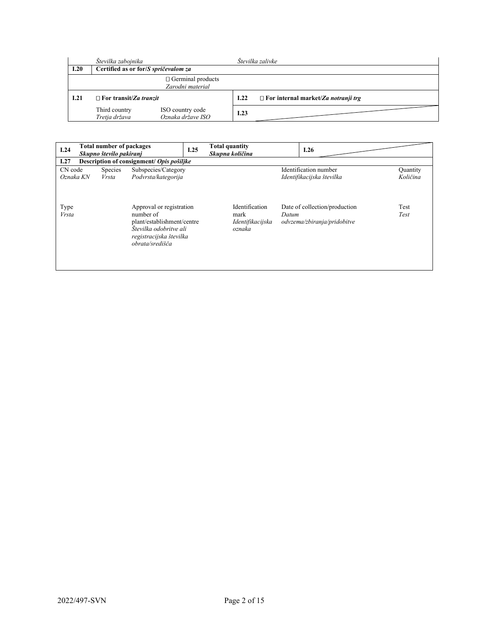|      | Številka zabojnika                   |                                              |      | Številka zalivke                           |
|------|--------------------------------------|----------------------------------------------|------|--------------------------------------------|
| I.20 | Certified as or for/S spričevalom za |                                              |      |                                            |
|      |                                      | $\Box$ Germinal products<br>Zarodni material |      |                                            |
| I.21 | $\Box$ For transit/Za tranzit        |                                              |      | $\Box$ For internal market/Za notranji trg |
|      | Third country<br>Tretja država       | ISO country code<br>Oznaka države ISO        | 1.23 |                                            |

| I.24                 | Total number of packages<br>Skupno število pakiranj |                                |                                                                                                                                             | I.25 | <b>Total quantity</b><br>Skupna količina             |       | I.26                                                         |                      |
|----------------------|-----------------------------------------------------|--------------------------------|---------------------------------------------------------------------------------------------------------------------------------------------|------|------------------------------------------------------|-------|--------------------------------------------------------------|----------------------|
| I.27                 | Description of consignment/ Opis pošiljke           |                                |                                                                                                                                             |      |                                                      |       |                                                              |                      |
| CN code<br>Oznaka KN |                                                     | <b>Species</b><br><i>Vrsta</i> | Subspecies/Category<br>Podvrsta/kategorija                                                                                                  |      |                                                      |       | Identification number<br>Identifikacijska številka           | Quantity<br>Količina |
| Type<br><b>Vrsta</b> |                                                     |                                | Approval or registration<br>number of<br>plant/establishment/centre<br>Številka odobritve ali<br>registracijska številka<br>obrata/središča |      | Identification<br>mark<br>Identifikacijska<br>oznaka | Datum | Date of collection/production<br>odvzema/zbiranja/pridobitve | Test<br>Test         |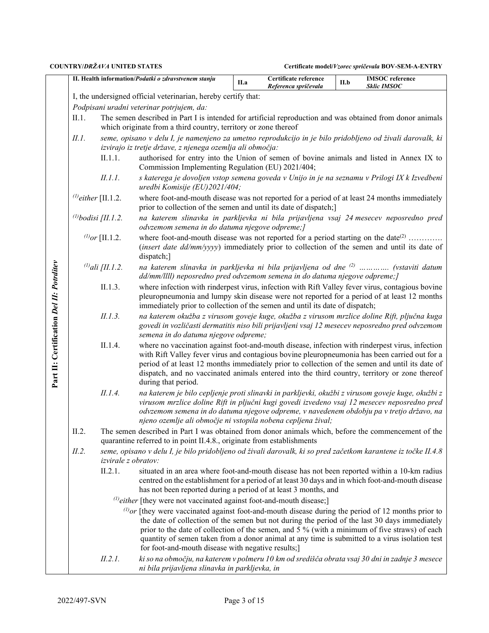|                                          | II. Health information/Podatki o zdravstvenem stanju |                                                                                                                                                                        |                                                                                                                                                                                                                                                                                                                                                                                                                             |                                                                                                                                                                                               | Certificate reference<br>Referenca spričevala | II.b | <b>IMSOC</b> reference<br><b>Sklic IMSOC</b> |  |  |  |  |
|------------------------------------------|------------------------------------------------------|------------------------------------------------------------------------------------------------------------------------------------------------------------------------|-----------------------------------------------------------------------------------------------------------------------------------------------------------------------------------------------------------------------------------------------------------------------------------------------------------------------------------------------------------------------------------------------------------------------------|-----------------------------------------------------------------------------------------------------------------------------------------------------------------------------------------------|-----------------------------------------------|------|----------------------------------------------|--|--|--|--|
|                                          |                                                      |                                                                                                                                                                        | I, the undersigned official veterinarian, hereby certify that:                                                                                                                                                                                                                                                                                                                                                              |                                                                                                                                                                                               |                                               |      |                                              |  |  |  |  |
|                                          |                                                      |                                                                                                                                                                        | Podpisani uradni veterinar potrjujem, da:                                                                                                                                                                                                                                                                                                                                                                                   |                                                                                                                                                                                               |                                               |      |                                              |  |  |  |  |
|                                          | II.1.                                                |                                                                                                                                                                        | The semen described in Part I is intended for artificial reproduction and was obtained from donor animals<br>which originate from a third country, territory or zone thereof                                                                                                                                                                                                                                                |                                                                                                                                                                                               |                                               |      |                                              |  |  |  |  |
|                                          | II. I.                                               | seme, opisano v delu I, je namenjeno za umetno reprodukcijo in je bilo pridobljeno od živali darovalk, ki<br>izvirajo iz tretje države, z njenega ozemlja ali območja: |                                                                                                                                                                                                                                                                                                                                                                                                                             |                                                                                                                                                                                               |                                               |      |                                              |  |  |  |  |
|                                          |                                                      | II.1.1.                                                                                                                                                                | authorised for entry into the Union of semen of bovine animals and listed in Annex IX to<br>Commission Implementing Regulation (EU) 2021/404;                                                                                                                                                                                                                                                                               |                                                                                                                                                                                               |                                               |      |                                              |  |  |  |  |
|                                          |                                                      | II.1.1.                                                                                                                                                                | s katerega je dovoljen vstop semena goveda v Unijo in je na seznamu v Prilogi IX k Izvedbeni<br>uredbi Komisije (EU)2021/404;                                                                                                                                                                                                                                                                                               |                                                                                                                                                                                               |                                               |      |                                              |  |  |  |  |
|                                          | $^{(l)}$ either [II.1.2.                             |                                                                                                                                                                        | where foot-and-mouth disease was not reported for a period of at least 24 months immediately<br>prior to collection of the semen and until its date of dispatch;                                                                                                                                                                                                                                                            |                                                                                                                                                                                               |                                               |      |                                              |  |  |  |  |
|                                          | $^{(1)}$ bodisi [II.1.2.                             |                                                                                                                                                                        | na katerem slinavka in parkljevka ni bila prijavljena vsaj 24 mesecev neposredno pred<br>odvzemom semena in do datuma njegove odpreme;]                                                                                                                                                                                                                                                                                     |                                                                                                                                                                                               |                                               |      |                                              |  |  |  |  |
|                                          |                                                      | $^{(1)}$ or [II.1.2.                                                                                                                                                   | where foot-and-mouth disease was not reported for a period starting on the date $^{(2)}$<br>(insert date dd/mm/yyyy) immediately prior to collection of the semen and until its date of<br>dispatch;]                                                                                                                                                                                                                       |                                                                                                                                                                                               |                                               |      |                                              |  |  |  |  |
|                                          |                                                      | $^{(1)}$ ali [II.1.2.                                                                                                                                                  | na katerem slinavka in parkljevka ni bila prijavljena od dne <sup>(2)</sup> (vstaviti datum<br>dd/mm/llll) neposredno pred odvzemom semena in do datuma njegove odpreme;]                                                                                                                                                                                                                                                   |                                                                                                                                                                                               |                                               |      |                                              |  |  |  |  |
|                                          |                                                      | II.1.3.                                                                                                                                                                | where infection with rinderpest virus, infection with Rift Valley fever virus, contagious bovine<br>pleuropneumonia and lumpy skin disease were not reported for a period of at least 12 months<br>immediately prior to collection of the semen and until its date of dispatch;                                                                                                                                             |                                                                                                                                                                                               |                                               |      |                                              |  |  |  |  |
|                                          |                                                      | II.1.3.                                                                                                                                                                | semena in do datuma njegove odpreme;                                                                                                                                                                                                                                                                                                                                                                                        | na katerem okužba z virusom goveje kuge, okužba z virusom mrzlice doline Rift, pljučna kuga<br>govedi in vozličasti dermatitis niso bili prijavljeni vsaj 12 mesecev neposredno pred odvzemom |                                               |      |                                              |  |  |  |  |
| Part II: Certification Del II: Potrditev | II.1.4.                                              |                                                                                                                                                                        | where no vaccination against foot-and-mouth disease, infection with rinderpest virus, infection<br>with Rift Valley fever virus and contagious bovine pleuropneumonia has been carried out for a<br>period of at least 12 months immediately prior to collection of the semen and until its date of<br>dispatch, and no vaccinated animals entered into the third country, territory or zone thereof<br>during that period. |                                                                                                                                                                                               |                                               |      |                                              |  |  |  |  |
|                                          |                                                      | II.1.4.                                                                                                                                                                | na katerem je bilo cepljenje proti slinavki in parkljevki, okužbi z virusom goveje kuge, okužbi z<br>virusom mrzlice doline Rift in pljučni kugi govedi izvedeno vsaj 12 mesecev neposredno pred<br>odvzemom semena in do datuma njegove odpreme, v navedenem obdobju pa v tretjo državo, na<br>njeno ozemlje ali območje ni vstopila nobena cepljena žival;                                                                |                                                                                                                                                                                               |                                               |      |                                              |  |  |  |  |
|                                          | II.2.                                                |                                                                                                                                                                        | The semen described in Part I was obtained from donor animals which, before the commencement of the<br>quarantine referred to in point II.4.8., originate from establishments                                                                                                                                                                                                                                               |                                                                                                                                                                                               |                                               |      |                                              |  |  |  |  |
|                                          | II.2.                                                | izvirale z obratov:                                                                                                                                                    | seme, opisano v delu I, je bilo pridobljeno od živali darovalk, ki so pred začetkom karantene iz točke II.4.8                                                                                                                                                                                                                                                                                                               |                                                                                                                                                                                               |                                               |      |                                              |  |  |  |  |
|                                          | II.2.1.                                              |                                                                                                                                                                        | situated in an area where foot-and-mouth disease has not been reported within a 10-km radius<br>centred on the establishment for a period of at least 30 days and in which foot-and-mouth disease<br>has not been reported during a period of at least 3 months, and                                                                                                                                                        |                                                                                                                                                                                               |                                               |      |                                              |  |  |  |  |
|                                          |                                                      |                                                                                                                                                                        | $^{(1)}$ either [they were not vaccinated against foot-and-mouth disease;]                                                                                                                                                                                                                                                                                                                                                  |                                                                                                                                                                                               |                                               |      |                                              |  |  |  |  |
|                                          |                                                      |                                                                                                                                                                        | $^{(l)}$ or [they were vaccinated against foot-and-mouth disease during the period of 12 months prior to<br>the date of collection of the semen but not during the period of the last 30 days immediately<br>prior to the date of collection of the semen, and 5 % (with a minimum of five straws) of each<br>quantity of semen taken from a donor animal at any time is submitted to a virus isolation test                |                                                                                                                                                                                               |                                               |      |                                              |  |  |  |  |
|                                          |                                                      | II.2.1.                                                                                                                                                                | for foot-and-mouth disease with negative results;]<br>ki so na območju, na katerem v polmeru 10 km od središča obrata vsaj 30 dni in zadnje 3 mesece<br>ni bila prijavljena slinavka in parkljevka, in                                                                                                                                                                                                                      |                                                                                                                                                                                               |                                               |      |                                              |  |  |  |  |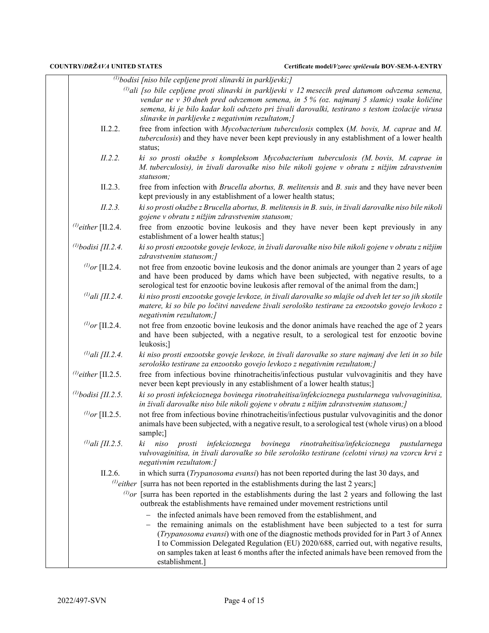|                          | $^{(1)}$ bodisi [niso bile cepljene proti slinavki in parkljevki;]                                                                                                                                                                                                                                                                                                                      |
|--------------------------|-----------------------------------------------------------------------------------------------------------------------------------------------------------------------------------------------------------------------------------------------------------------------------------------------------------------------------------------------------------------------------------------|
|                          | <sup>(1)</sup> ali [so bile cepljene proti slinavki in parkljevki v 12 mesecih pred datumom odvzema semena,<br>vendar ne v 30 dneh pred odvzemom semena, in 5 % (oz. najmanj 5 slamic) vsake količine<br>semena, ki je bilo kadar koli odvzeto pri živali darovalki, testirano s testom izolacije virusa<br>slinavke in parkljevke z negativnim rezultatom;]                            |
| II.2.2.                  | free from infection with Mycobacterium tuberculosis complex (M. bovis, M. caprae and M.<br>tuberculosis) and they have never been kept previously in any establishment of a lower health<br>status;                                                                                                                                                                                     |
| II.2.2.                  | ki so prosti okužbe s kompleksom Mycobacterium tuberculosis (M. bovis, M. caprae in<br>M. tuberculosis), in živali darovalke niso bile nikoli gojene v obratu z nižjim zdravstvenim<br>statusom;                                                                                                                                                                                        |
| II.2.3.                  | free from infection with <i>Brucella abortus</i> , <i>B. melitensis</i> and <i>B. suis</i> and they have never been<br>kept previously in any establishment of a lower health status;                                                                                                                                                                                                   |
| II.2.3.                  | ki so prosti okužbe z Brucella abortus, B. melitensis in B. suis, in živali darovalke niso bile nikoli<br>gojene v obratu z nižjim zdravstvenim statusom;                                                                                                                                                                                                                               |
| $^{(1)}$ either [II.2.4. | free from enzootic bovine leukosis and they have never been kept previously in any<br>establishment of a lower health status;]                                                                                                                                                                                                                                                          |
| (1) bodisi [II.2.4.      | ki so prosti enzootske goveje levkoze, in živali darovalke niso bile nikoli gojene v obratu z nižjim<br>zdravstvenim statusom;]                                                                                                                                                                                                                                                         |
| $^{(1)}$ or [II.2.4.     | not free from enzootic bovine leukosis and the donor animals are younger than 2 years of age<br>and have been produced by dams which have been subjected, with negative results, to a<br>serological test for enzootic bovine leukosis after removal of the animal from the dam;                                                                                                        |
| $^{(1)}$ ali [II.2.4.    | ki niso prosti enzootske goveje levkoze, in živali darovalke so mlajše od dveh let ter so jih skotile<br>matere, ki so bile po ločitvi navedene živali serološko testirane za enzootsko govejo levkozo z<br>negativnim rezultatom;]                                                                                                                                                     |
| $^{(1)}$ or [II.2.4.     | not free from enzootic bovine leukosis and the donor animals have reached the age of 2 years<br>and have been subjected, with a negative result, to a serological test for enzootic bovine<br>leukosis;]                                                                                                                                                                                |
| $^{(1)}$ ali [II.2.4.    | ki niso prosti enzootske goveje levkoze, in živali darovalke so stare najmanj dve leti in so bile<br>serološko testirane za enzootsko govejo levkozo z negativnim rezultatom;]                                                                                                                                                                                                          |
| $^{(1)}$ either [II.2.5. | free from infectious bovine rhinotracheitis/infectious pustular vulvovaginitis and they have<br>never been kept previously in any establishment of a lower health status;]                                                                                                                                                                                                              |
| (1) bodisi [II.2.5.      | ki so prosti infekcioznega bovinega rinotraheitisa/infekcioznega pustularnega vulvovaginitisa,<br>in živali darovalke niso bile nikoli gojene v obratu z nižjim zdravstvenim statusom;]                                                                                                                                                                                                 |
| $^{(1)}$ or [II.2.5.     | not free from infectious bovine rhinotracheitis/infectious pustular vulvovaginitis and the donor<br>animals have been subjected, with a negative result, to a serological test (whole virus) on a blood<br>sample;]                                                                                                                                                                     |
| $^{(1)}$ ali [II.2.5.    | infekcioznega<br>bovinega rinotraheitisa/infekcioznega<br>ki<br>niso<br>prosti<br>pustularnega<br>vulvovaginitisa, in živali darovalke so bile serološko testirane (celotni virus) na vzorcu krvi z<br>negativnim rezultatom:]                                                                                                                                                          |
| II.2.6.                  | in which surra (Trypanosoma evansi) has not been reported during the last 30 days, and                                                                                                                                                                                                                                                                                                  |
|                          | $^{(1)}$ either [surra has not been reported in the establishments during the last 2 years;]                                                                                                                                                                                                                                                                                            |
|                          | $^{(l)}$ or [surra has been reported in the establishments during the last 2 years and following the last<br>outbreak the establishments have remained under movement restrictions until                                                                                                                                                                                                |
|                          | the infected animals have been removed from the establishment, and                                                                                                                                                                                                                                                                                                                      |
|                          | the remaining animals on the establishment have been subjected to a test for surra<br>(Trypanosoma evansi) with one of the diagnostic methods provided for in Part 3 of Annex<br>I to Commission Delegated Regulation (EU) 2020/688, carried out, with negative results,<br>on samples taken at least 6 months after the infected animals have been removed from the<br>establishment.] |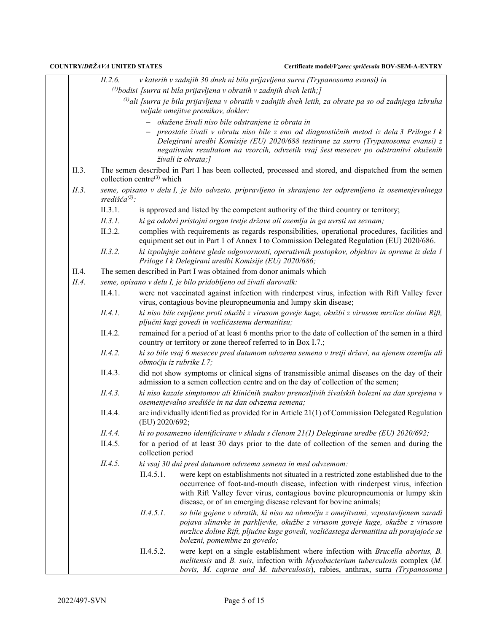|       | II.2.6.                                           |                                        | v katerih v zadnjih 30 dneh ni bila prijavljena surra (Trypanosoma evansi) in                                                                                                                                                                                                                                                |  |  |  |  |  |
|-------|---------------------------------------------------|----------------------------------------|------------------------------------------------------------------------------------------------------------------------------------------------------------------------------------------------------------------------------------------------------------------------------------------------------------------------------|--|--|--|--|--|
|       |                                                   |                                        | $\alpha^{(1)}$ bodisi [surra ni bila prijavljena v obratih v zadnjih dveh letih;]                                                                                                                                                                                                                                            |  |  |  |  |  |
|       |                                                   |                                        | $\omega$ ali [surra je bila prijavljena v obratih v zadnjih dveh letih, za obrate pa so od zadnjega izbruha<br>veljale omejitve premikov, dokler:                                                                                                                                                                            |  |  |  |  |  |
|       | okužene živali niso bile odstranjene iz obrata in |                                        |                                                                                                                                                                                                                                                                                                                              |  |  |  |  |  |
|       |                                                   |                                        | preostale živali v obratu niso bile z eno od diagnostičnih metod iz dela 3 Priloge I k<br>Delegirani uredbi Komisije (EU) 2020/688 testirane za surro (Trypanosoma evansi) z<br>negativnim rezultatom na vzorcih, odvzetih vsaj šest mesecev po odstranitvi okuženih<br>živali iz obrata;]                                   |  |  |  |  |  |
| II.3. |                                                   | collection centre <sup>(3)</sup> which | The semen described in Part I has been collected, processed and stored, and dispatched from the semen                                                                                                                                                                                                                        |  |  |  |  |  |
| II.3. | središča $(3)$ :                                  |                                        | seme, opisano v delu I, je bilo odvzeto, pripravljeno in shranjeno ter odpremljeno iz osemenjevalnega                                                                                                                                                                                                                        |  |  |  |  |  |
|       | II.3.1.                                           |                                        | is approved and listed by the competent authority of the third country or territory;                                                                                                                                                                                                                                         |  |  |  |  |  |
|       | II.3.1.                                           |                                        | ki ga odobri pristojni organ tretje države ali ozemlja in ga uvrsti na seznam;                                                                                                                                                                                                                                               |  |  |  |  |  |
|       | II.3.2.                                           |                                        | complies with requirements as regards responsibilities, operational procedures, facilities and<br>equipment set out in Part 1 of Annex I to Commission Delegated Regulation (EU) 2020/686.                                                                                                                                   |  |  |  |  |  |
|       | II.3.2.                                           |                                        | ki izpolnjuje zahteve glede odgovornosti, operativnih postopkov, objektov in opreme iz dela l<br>Priloge I k Delegirani uredbi Komisije (EU) 2020/686;                                                                                                                                                                       |  |  |  |  |  |
| II.4. |                                                   |                                        | The semen described in Part I was obtained from donor animals which                                                                                                                                                                                                                                                          |  |  |  |  |  |
| II.4. |                                                   |                                        | seme, opisano v delu I, je bilo pridobljeno od živali darovalk:                                                                                                                                                                                                                                                              |  |  |  |  |  |
|       | II.4.1.                                           |                                        | were not vaccinated against infection with rinderpest virus, infection with Rift Valley fever<br>virus, contagious bovine pleuropneumonia and lumpy skin disease;                                                                                                                                                            |  |  |  |  |  |
|       | II.4.1.                                           |                                        | ki niso bile cepljene proti okužbi z virusom goveje kuge, okužbi z virusom mrzlice doline Rift,<br>pljučni kugi govedi in vozličastemu dermatitisu;                                                                                                                                                                          |  |  |  |  |  |
|       | II.4.2.                                           |                                        | remained for a period of at least 6 months prior to the date of collection of the semen in a third<br>country or territory or zone thereof referred to in Box I.7.;                                                                                                                                                          |  |  |  |  |  |
|       | II.4.2.                                           |                                        | ki so bile vsaj 6 mesecev pred datumom odvzema semena v tretji državi, na njenem ozemlju ali<br>območju iz rubrike I.7;                                                                                                                                                                                                      |  |  |  |  |  |
|       | II.4.3.                                           |                                        | did not show symptoms or clinical signs of transmissible animal diseases on the day of their<br>admission to a semen collection centre and on the day of collection of the semen;                                                                                                                                            |  |  |  |  |  |
|       | II.4.3.                                           |                                        | ki niso kazale simptomov ali kliničnih znakov prenosljivih živalskih bolezni na dan sprejema v<br>osemenjevalno središče in na dan odvzema semena;                                                                                                                                                                           |  |  |  |  |  |
|       | II.4.4.                                           | (EU) 2020/692;                         | are individually identified as provided for in Article 21(1) of Commission Delegated Regulation                                                                                                                                                                                                                              |  |  |  |  |  |
|       | II.4.4.                                           |                                        | ki so posamezno identificirane v skladu s členom 21(1) Delegirane uredbe (EU) 2020/692;                                                                                                                                                                                                                                      |  |  |  |  |  |
|       | II.4.5.                                           | collection period                      | for a period of at least 30 days prior to the date of collection of the semen and during the                                                                                                                                                                                                                                 |  |  |  |  |  |
|       | II.4.5.                                           |                                        | ki vsaj 30 dni pred datumom odvzema semena in med odvzemom:                                                                                                                                                                                                                                                                  |  |  |  |  |  |
|       |                                                   | II.4.5.1.                              | were kept on establishments not situated in a restricted zone established due to the<br>occurrence of foot-and-mouth disease, infection with rinderpest virus, infection<br>with Rift Valley fever virus, contagious bovine pleuropneumonia or lumpy skin<br>disease, or of an emerging disease relevant for bovine animals; |  |  |  |  |  |
|       |                                                   | II.4.5.1.                              | so bile gojene v obratih, ki niso na območju z omejitvami, vzpostavljenem zaradi<br>pojava slinavke in parkljevke, okužbe z virusom goveje kuge, okužbe z virusom<br>mrzlice doline Rift, pljučne kuge govedi, vozličastega dermatitisa ali porajajoče se<br>bolezni, pomembne za govedo;                                    |  |  |  |  |  |
|       |                                                   | II.4.5.2.                              | were kept on a single establishment where infection with <i>Brucella abortus</i> , <i>B</i> .<br>melitensis and $B$ . suis, infection with $Mycobacterium$ tuberculosis complex $(M.$<br>bovis, M. caprae and M. tuberculosis), rabies, anthrax, surra (Trypanosoma                                                          |  |  |  |  |  |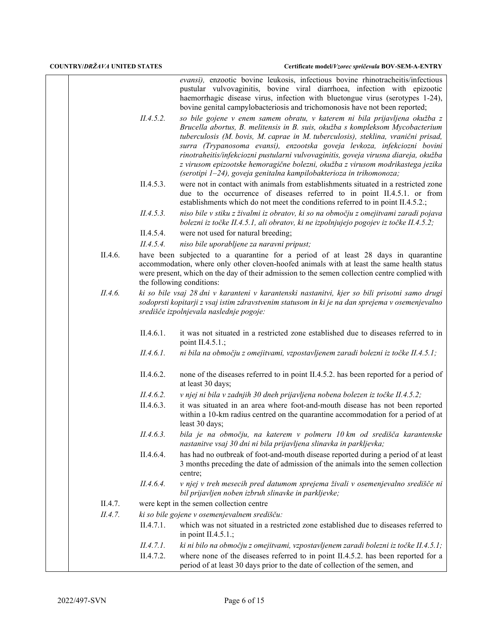*evansi),* enzootic bovine leukosis, infectious bovine rhinotracheitis/infectious pustular vulvovaginitis, bovine viral diarrhoea, infection with epizootic haemorrhagic disease virus, infection with bluetongue virus (serotypes 1-24), bovine genital campylobacteriosis and trichomonosis have not been reported;

*II.4.5.2. so bile gojene v enem samem obratu, v katerem ni bila prijavljena okužba z Brucella abortus, B. melitensis in B. suis, okužba s kompleksom Mycobacterium tuberculosis (M. bovis, M. caprae in M. tuberculosis), steklina, vranični prisad, surra (Trypanosoma evansi), enzootska goveja levkoza, infekciozni bovini rinotraheitis/infekciozni pustularni vulvovaginitis, goveja virusna diareja, okužba z virusom epizootske hemoragične bolezni, okužba z virusom modrikastega jezika (serotipi 1–24), goveja genitalna kampilobakterioza in trihomonoza;*

- II.4.5.3. were not in contact with animals from establishments situated in a restricted zone due to the occurrence of diseases referred to in point II.4.5.1. or from establishments which do not meet the conditions referred to in point II.4.5.2.;
- *II.4.5.3. niso bile v stiku z živalmi iz obratov, ki so na območju z omejitvami zaradi pojava bolezni iz točke II.4.5.1, ali obratov, ki ne izpolnjujejo pogojev iz točke II.4.5.2;*
- II.4.5.4. were not used for natural breeding;
- *II.4.5.4. niso bile uporabljene za naravni pripust;*
- II.4.6. have been subjected to a quarantine for a period of at least 28 days in quarantine accommodation, where only other cloven-hoofed animals with at least the same health status were present, which on the day of their admission to the semen collection centre complied with the following conditions:
- *II.4.6. ki so bile vsaj 28 dni v karanteni v karantenski nastanitvi, kjer so bili prisotni samo drugi sodoprsti kopitarji z vsaj istim zdravstvenim statusom in ki je na dan sprejema v osemenjevalno središče izpolnjevala naslednje pogoje:*
	- II.4.6.1. it was not situated in a restricted zone established due to diseases referred to in point II.4.5.1.;
	- *II.4.6.1. ni bila na območju z omejitvami, vzpostavljenem zaradi bolezni iz točke II.4.5.1;*
	- II.4.6.2. none of the diseases referred to in point II.4.5.2. has been reported for a period of at least 30 days;
	- *II.4.6.2. v njej ni bila v zadnjih 30 dneh prijavljena nobena bolezen iz točke II.4.5.2;*
	- II.4.6.3. it was situated in an area where foot-and-mouth disease has not been reported within a 10-km radius centred on the quarantine accommodation for a period of at least 30 days;
	- *II.4.6.3. bila je na območju, na katerem v polmeru 10 km od središča karantenske nastanitve vsaj 30 dni ni bila prijavljena slinavka in parkljevka;*
	- II.4.6.4. has had no outbreak of foot-and-mouth disease reported during a period of at least 3 months preceding the date of admission of the animals into the semen collection centre;
	- *II.4.6.4. v njej v treh mesecih pred datumom sprejema živali v osemenjevalno središče ni bil prijavljen noben izbruh slinavke in parkljevke;*
- II.4.7. were kept in the semen collection centre
- *II.4.7. ki so bile gojene v osemenjevalnem središču:*
	- II.4.7.1. which was not situated in a restricted zone established due to diseases referred to in point II.4.5.1.;
	- *II.4.7.1. ki ni bilo na območju z omejitvami, vzpostavljenem zaradi bolezni iz točke II.4.5.1;*
	- II.4.7.2. where none of the diseases referred to in point II.4.5.2. has been reported for a period of at least 30 days prior to the date of collection of the semen, and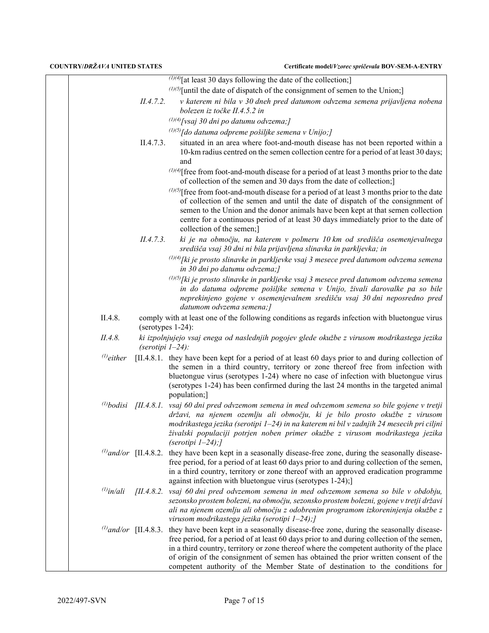|                 |                     | $(1)(4)$ [at least 30 days following the date of the collection;]                                                                                                                                                                                                                                                                                                                                                                                                                 |
|-----------------|---------------------|-----------------------------------------------------------------------------------------------------------------------------------------------------------------------------------------------------------------------------------------------------------------------------------------------------------------------------------------------------------------------------------------------------------------------------------------------------------------------------------|
|                 |                     | $(1)(5)$ [until the date of dispatch of the consignment of semen to the Union;]                                                                                                                                                                                                                                                                                                                                                                                                   |
|                 | II.4.7.2.           | v katerem ni bila v 30 dneh pred datumom odvzema semena prijavljena nobena<br>bolezen iz točke II.4.5.2 in                                                                                                                                                                                                                                                                                                                                                                        |
|                 |                     | $^{(1)(4)}$ [vsaj 30 dni po datumu odvzema;]                                                                                                                                                                                                                                                                                                                                                                                                                                      |
|                 |                     | $^{(1)(5)}$ [do datuma odpreme pošiljke semena v Unijo;]                                                                                                                                                                                                                                                                                                                                                                                                                          |
|                 | II.4.7.3.           | situated in an area where foot-and-mouth disease has not been reported within a<br>10-km radius centred on the semen collection centre for a period of at least 30 days;<br>and                                                                                                                                                                                                                                                                                                   |
|                 |                     | $(1)(4)$ free from foot-and-mouth disease for a period of at least 3 months prior to the date<br>of collection of the semen and 30 days from the date of collection;                                                                                                                                                                                                                                                                                                              |
|                 |                     | $(1)(5)$ [free from foot-and-mouth disease for a period of at least 3 months prior to the date<br>of collection of the semen and until the date of dispatch of the consignment of<br>semen to the Union and the donor animals have been kept at that semen collection<br>centre for a continuous period of at least 30 days immediately prior to the date of<br>collection of the semen;]                                                                                         |
|                 | II.4.7.3.           | ki je na območju, na katerem v polmeru 10 km od središča osemenjevalnega<br>središča vsaj 30 dni ni bila prijavljena slinavka in parkljevka; in                                                                                                                                                                                                                                                                                                                                   |
|                 |                     | $(1)(4)$ [ki je prosto slinavke in parkljevke vsaj 3 mesece pred datumom odvzema semena<br>in 30 dni po datumu odvzema;]                                                                                                                                                                                                                                                                                                                                                          |
|                 |                     | $^{(1)(5)}$ [ki je prosto slinavke in parkljevke vsaj 3 mesece pred datumom odvzema semena<br>in do datuma odpreme pošiljke semena v Unijo, živali darovalke pa so bile<br>neprekinjeno gojene v osemenjevalnem središču vsaj 30 dni neposredno pred<br>datumom odvzema semena;]                                                                                                                                                                                                  |
| II.4.8.         | $(serotypes 1-24):$ | comply with at least one of the following conditions as regards infection with bluetongue virus                                                                                                                                                                                                                                                                                                                                                                                   |
| II.4.8.         | (serotipi $1-24$ ): | ki izpolnjujejo vsaj enega od naslednjih pogojev glede okužbe z virusom modrikastega jezika                                                                                                                                                                                                                                                                                                                                                                                       |
| $^{(1)}$ either |                     | [II.4.8.1. they have been kept for a period of at least 60 days prior to and during collection of<br>the semen in a third country, territory or zone thereof free from infection with<br>bluetongue virus (serotypes 1-24) where no case of infection with bluetongue virus<br>(serotypes 1-24) has been confirmed during the last 24 months in the targeted animal<br>population;]                                                                                               |
|                 |                     | $^{(1)}$ bodisi [II.4.8.1. vsaj 60 dni pred odvzemom semena in med odvzemom semena so bile gojene v tretji<br>državi, na njenem ozemlju ali območju, ki je bilo prosto okužbe z virusom<br>modrikastega jezika (serotipi 1–24) in na katerem ni bil v zadnjih 24 mesecih pri ciljni<br>živalski populaciji potrjen noben primer okužbe z virusom modrikastega jezika<br>(serotipi $1-24$ );                                                                                       |
|                 |                     | $^{(1)}$ and/or [II.4.8.2. they have been kept in a seasonally disease-free zone, during the seasonally disease-<br>free period, for a period of at least 60 days prior to and during collection of the semen,<br>in a third country, territory or zone thereof with an approved eradication programme<br>against infection with bluetongue virus (serotypes 1-24);]                                                                                                              |
| $^{(1)}$ in/ali |                     | [II.4.8.2. vsaj 60 dni pred odvzemom semena in med odvzemom semena so bile v obdobju,<br>sezonsko prostem bolezni, na območju, sezonsko prostem bolezni, gojene v tretji državi<br>ali na njenem ozemlju ali območju z odobrenim programom izkoreninjenja okužbe z<br>virusom modrikastega jezika (serotipi 1-24);]                                                                                                                                                               |
|                 |                     | $\omega$ and/or [II.4.8.3. they have been kept in a seasonally disease-free zone, during the seasonally disease-<br>free period, for a period of at least 60 days prior to and during collection of the semen,<br>in a third country, territory or zone thereof where the competent authority of the place<br>of origin of the consignment of semen has obtained the prior written consent of the<br>competent authority of the Member State of destination to the conditions for |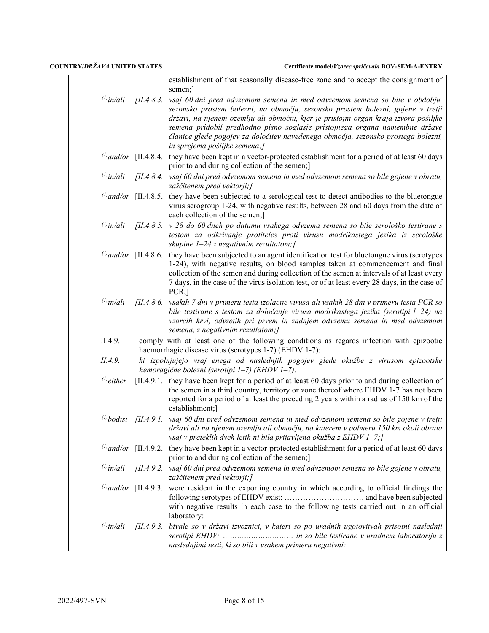|                 |            | establishment of that seasonally disease-free zone and to accept the consignment of<br>semen;]                                                                                                                                                                                                                                                                                                                                                             |
|-----------------|------------|------------------------------------------------------------------------------------------------------------------------------------------------------------------------------------------------------------------------------------------------------------------------------------------------------------------------------------------------------------------------------------------------------------------------------------------------------------|
| $^{(1)}$ in/ali | [II.4.8.3] | vsaj 60 dni pred odvzemom semena in med odvzemom semena so bile v obdobju,<br>sezonsko prostem bolezni, na območju, sezonsko prostem bolezni, gojene v tretji<br>državi, na njenem ozemlju ali območju, kjer je pristojni organ kraja izvora pošiljke<br>semena pridobil predhodno pisno soglasje pristojnega organa namembne države<br>članice glede pogojev za določitev navedenega območja, sezonsko prostega bolezni,<br>in sprejema pošiljke semena;] |
|                 |            | $^{(l)}$ and/or [II.4.8.4. they have been kept in a vector-protected establishment for a period of at least 60 days<br>prior to and during collection of the semen;]                                                                                                                                                                                                                                                                                       |
| $^{(1)}$ in/ali |            | [II.4.8.4. vsaj 60 dni pred odvzemom semena in med odvzemom semena so bile gojene v obratu,<br>zaščitenem pred vektorji;]                                                                                                                                                                                                                                                                                                                                  |
|                 |            | $\frac{1}{2}$ and/or [II.4.8.5. they have been subjected to a serological test to detect antibodies to the bluetongue<br>virus serogroup 1-24, with negative results, between 28 and 60 days from the date of<br>each collection of the semen;]                                                                                                                                                                                                            |
| $^{(1)}$ in/ali |            | $[II.4.8.5. v 28$ do 60 dneh po datumu vsakega odvzema semena so bile serološko testirane s<br>testom za odkrivanje protiteles proti virusu modrikastega jezika iz serološke<br>skupine $1-24$ z negativnim rezultatom; [                                                                                                                                                                                                                                  |
|                 |            | $\frac{1}{2}$ and/or [II.4.8.6. they have been subjected to an agent identification test for bluetongue virus (serotypes<br>1-24), with negative results, on blood samples taken at commencement and final<br>collection of the semen and during collection of the semen at intervals of at least every<br>7 days, in the case of the virus isolation test, or of at least every 28 days, in the case of<br>$PCR;$ ]                                       |
| $^{(1)}$ in/ali |            | [II.4.8.6. vsakih 7 dni v primeru testa izolacije virusa ali vsakih 28 dni v primeru testa PCR so<br>bile testirane s testom za določanje virusa modrikastega jezika (serotipi 1-24) na<br>vzorcih krvi, odvzetih pri prvem in zadnjem odvzemu semena in med odvzemom<br>semena, z negativnim rezultatom;]                                                                                                                                                 |
| II.4.9.         |            | comply with at least one of the following conditions as regards infection with epizootic<br>haemorrhagic disease virus (serotypes 1-7) (EHDV 1-7):                                                                                                                                                                                                                                                                                                         |
| II.4.9.         |            | ki izpolnjujejo vsaj enega od naslednjih pogojev glede okužbe z virusom epizootske<br>hemoragične bolezni (serotipi 1-7) (EHDV 1-7):                                                                                                                                                                                                                                                                                                                       |
| $^{(1)}$ either |            | [II.4.9.1. they have been kept for a period of at least 60 days prior to and during collection of<br>the semen in a third country, territory or zone thereof where EHDV 1-7 has not been<br>reported for a period of at least the preceding 2 years within a radius of 150 km of the<br>establishment;]                                                                                                                                                    |
|                 |            | $^{(1)}$ bodisi [II.4.9.1. vsaj 60 dni pred odvzemom semena in med odvzemom semena so bile gojene v tretji<br>državi ali na njenem ozemlju ali območju, na katerem v polmeru 150 km okoli obrata<br>vsaj v preteklih dveh letih ni bila prijavljena okužba z EHDV 1-7;]                                                                                                                                                                                    |
|                 |            | $\frac{1}{2}$ and/or [II.4.9.2. they have been kept in a vector-protected establishment for a period of at least 60 days<br>prior to and during collection of the semen;]                                                                                                                                                                                                                                                                                  |
| $^{(1)}$ in/ali | [II.4.9.2] | vsaj 60 dni pred odvzemom semena in med odvzemom semena so bile gojene v obratu,<br>zaščitenem pred vektorji;]                                                                                                                                                                                                                                                                                                                                             |
|                 |            | $\omega$ and/or [II.4.9.3. were resident in the exporting country in which according to official findings the<br>with negative results in each case to the following tests carried out in an official<br>laboratory:                                                                                                                                                                                                                                       |
| $^{(l)}$ in/ali | [II.4.9.3] | bivale so v državi izvoznici, v kateri so po uradnih ugotovitvah prisotni naslednji<br>naslednjimi testi, ki so bili v vsakem primeru negativni:                                                                                                                                                                                                                                                                                                           |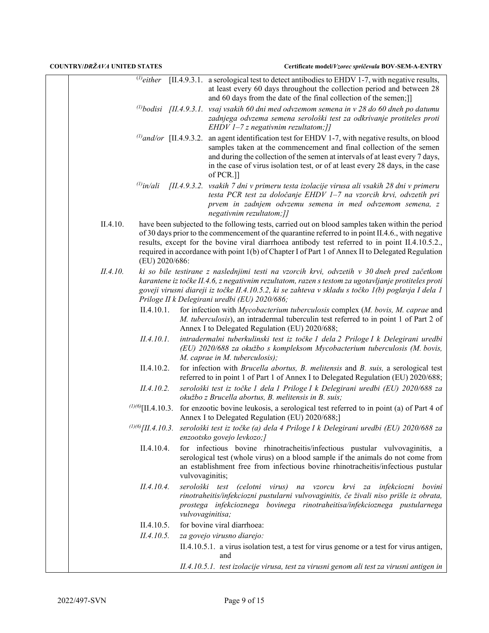|          |                          |                 | $^{(l)}$ either [II.4.9.3.1. a serological test to detect antibodies to EHDV 1-7, with negative results,<br>at least every 60 days throughout the collection period and between 28<br>and 60 days from the date of the final collection of the semen;]]                                                                                                                                                        |
|----------|--------------------------|-----------------|----------------------------------------------------------------------------------------------------------------------------------------------------------------------------------------------------------------------------------------------------------------------------------------------------------------------------------------------------------------------------------------------------------------|
|          |                          |                 | <sup>(1)</sup> bodisi [II.4.9.3.1. vsaj vsakih 60 dni med odvzemom semena in v 28 do 60 dneh po datumu                                                                                                                                                                                                                                                                                                         |
|          |                          |                 | zadnjega odvzema semena serološki test za odkrivanje protiteles proti<br>EHDV $1-7z$ negativnim rezultatom; []                                                                                                                                                                                                                                                                                                 |
|          |                          |                 | $^{(l)}$ and/or [II.4.9.3.2. an agent identification test for EHDV 1-7, with negative results, on blood<br>samples taken at the commencement and final collection of the semen<br>and during the collection of the semen at intervals of at least every 7 days,<br>in the case of virus isolation test, or of at least every 28 days, in the case<br>of PCR.]]                                                 |
|          |                          |                 | $^{(1)}$ in/ali [II.4.9.3.2. vsakih 7 dni v primeru testa izolacije virusa ali vsakih 28 dni v primeru<br>testa PCR test za določanje EHDV 1-7 na vzorcih krvi, odvzetih pri<br>prvem in zadnjem odvzemu semena in med odvzemom semena, z<br>negativnim rezultatom;]]                                                                                                                                          |
| II.4.10. | (EU) 2020/686:           |                 | have been subjected to the following tests, carried out on blood samples taken within the period<br>of 30 days prior to the commencement of the quarantine referred to in point II.4.6., with negative<br>results, except for the bovine viral diarrhoea antibody test referred to in point II.4.10.5.2.,<br>required in accordance with point 1(b) of Chapter I of Part 1 of Annex II to Delegated Regulation |
| II.4.10. |                          |                 | ki so bile testirane z naslednjimi testi na vzorcih krvi, odvzetih v 30 dneh pred začetkom<br>karantene iz točke II.4.6, z negativnim rezultatom, razen s testom za ugotavljanje protiteles proti<br>goveji virusni diareji iz točke II.4.10.5.2, ki se zahteva v skladu s točko 1(b) poglavja I dela 1<br>Priloge II k Delegirani uredbi (EU) 2020/686;                                                       |
|          | II.4.10.1.               |                 | for infection with Mycobacterium tuberculosis complex (M. bovis, M. caprae and<br>M. tuberculosis), an intradermal tuberculin test referred to in point 1 of Part 2 of<br>Annex I to Delegated Regulation (EU) 2020/688;                                                                                                                                                                                       |
|          | II.4.10.1.               |                 | intradermalni tuberkulinski test iz točke 1 dela 2 Priloge I k Delegirani uredbi<br>(EU) 2020/688 za okužbo s kompleksom Mycobacterium tuberculosis (M. bovis,<br>M. caprae in M. tuberculosis);                                                                                                                                                                                                               |
|          | II.4.10.2.               |                 | for infection with <i>Brucella abortus</i> , <i>B. melitensis</i> and <i>B. suis</i> , a serological test<br>referred to in point 1 of Part 1 of Annex I to Delegated Regulation (EU) 2020/688;                                                                                                                                                                                                                |
|          | II.4.10.2.               |                 | serološki test iz točke 1 dela 1 Priloge I k Delegirani uredbi (EU) 2020/688 za<br>okužbo z Brucella abortus, B. melitensis in B. suis;                                                                                                                                                                                                                                                                        |
|          | $^{(1)(6)}$ [II.4.10.3.] |                 | for enzootic bovine leukosis, a serological test referred to in point (a) of Part 4 of<br>Annex I to Delegated Regulation (EU) 2020/688;]                                                                                                                                                                                                                                                                      |
|          |                          |                 | $^{(1)(6)}$ [II.4.10.3. serološki test iz točke (a) dela 4 Priloge I k Delegirani uredbi (EU) 2020/688 za<br>enzootsko govejo levkozo;]                                                                                                                                                                                                                                                                        |
|          | II.4.10.4.               | vulvovaginitis; | for infectious bovine rhinotracheitis/infectious pustular vulvovaginitis, a<br>serological test (whole virus) on a blood sample if the animals do not come from<br>an establishment free from infectious bovine rhinotracheitis/infectious pustular                                                                                                                                                            |
|          | II.4.10.4.               |                 | serološki test (celotni virus) na vzorcu krvi za infekciozni bovini<br>rinotraheitis/infekciozni pustularni vulvovaginitis, če živali niso prišle iz obrata,<br>prostega infekcioznega bovinega rinotraheitisa/infekcioznega pustularnega<br>vulvovaginitisa;                                                                                                                                                  |
|          | II.4.10.5.               |                 | for bovine viral diarrhoea:                                                                                                                                                                                                                                                                                                                                                                                    |
|          | II.4.10.5.               |                 | za govejo virusno diarejo:                                                                                                                                                                                                                                                                                                                                                                                     |
|          |                          |                 | II.4.10.5.1. a virus isolation test, a test for virus genome or a test for virus antigen,<br>and                                                                                                                                                                                                                                                                                                               |
|          |                          |                 | II.4.10.5.1. test izolacije virusa, test za virusni genom ali test za virusni antigen in                                                                                                                                                                                                                                                                                                                       |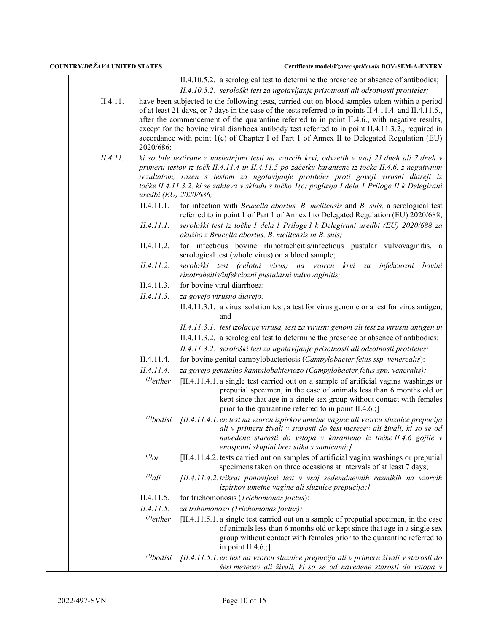|          |                       | II.4.10.5.2. a serological test to determine the presence or absence of antibodies;                                                                                                                                                                                                                                                                                                                                                                                                                             |
|----------|-----------------------|-----------------------------------------------------------------------------------------------------------------------------------------------------------------------------------------------------------------------------------------------------------------------------------------------------------------------------------------------------------------------------------------------------------------------------------------------------------------------------------------------------------------|
|          |                       | II.4.10.5.2. serološki test za ugotavljanje prisotnosti ali odsotnosti protiteles;                                                                                                                                                                                                                                                                                                                                                                                                                              |
| II.4.11. | 2020/686:             | have been subjected to the following tests, carried out on blood samples taken within a period<br>of at least 21 days, or 7 days in the case of the tests referred to in points II.4.11.4. and II.4.11.5.,<br>after the commencement of the quarantine referred to in point II.4.6., with negative results,<br>except for the bovine viral diarrhoea antibody test referred to in point II.4.11.3.2., required in<br>accordance with point 1(c) of Chapter I of Part 1 of Annex II to Delegated Regulation (EU) |
| II.4.11. | uredbi (EU) 2020/686; | ki so bile testirane z naslednjimi testi na vzorcih krvi, odvzetih v vsaj 21 dneh ali 7 dneh v<br>primeru testov iz točk II.4.11.4 in II.4.11.5 po začetku karantene iz točke II.4.6, z negativnim<br>rezultatom, razen s testom za ugotavljanje protiteles proti goveji virusni diareji iz<br>točke II.4.11.3.2, ki se zahteva v skladu s točko 1(c) poglavja I dela 1 Priloge II k Delegirani                                                                                                                 |
|          | II.4.11.1.            | for infection with Brucella abortus, B. melitensis and B. suis, a serological test<br>referred to in point 1 of Part 1 of Annex I to Delegated Regulation (EU) 2020/688;                                                                                                                                                                                                                                                                                                                                        |
|          | II.4.11.1.            | serološki test iz točke 1 dela 1 Priloge I k Delegirani uredbi (EU) 2020/688 za<br>okužbo z Brucella abortus, B. melitensis in B. suis;                                                                                                                                                                                                                                                                                                                                                                         |
|          | II.4.11.2.            | for infectious bovine rhinotracheitis/infectious pustular vulvovaginitis, a<br>serological test (whole virus) on a blood sample;                                                                                                                                                                                                                                                                                                                                                                                |
|          | II.4.11.2.            | serološki test (celotni virus) na vzorcu krvi za<br>infekciozni bovini<br>rinotraheitis/infekciozni pustularni vulvovaginitis;                                                                                                                                                                                                                                                                                                                                                                                  |
|          | II.4.11.3.            | for bovine viral diarrhoea:                                                                                                                                                                                                                                                                                                                                                                                                                                                                                     |
|          | II.4.11.3.            | za govejo virusno diarejo:                                                                                                                                                                                                                                                                                                                                                                                                                                                                                      |
|          |                       | II.4.11.3.1. a virus isolation test, a test for virus genome or a test for virus antigen,<br>and                                                                                                                                                                                                                                                                                                                                                                                                                |
|          |                       | II.4.11.3.1. test izolacije virusa, test za virusni genom ali test za virusni antigen in                                                                                                                                                                                                                                                                                                                                                                                                                        |
|          |                       | II.4.11.3.2. a serological test to determine the presence or absence of antibodies;                                                                                                                                                                                                                                                                                                                                                                                                                             |
|          |                       | II.4.11.3.2. serološki test za ugotavljanje prisotnosti ali odsotnosti protiteles;                                                                                                                                                                                                                                                                                                                                                                                                                              |
|          | II.4.11.4.            | for bovine genital campylobacteriosis (Campylobacter fetus ssp. venerealis):                                                                                                                                                                                                                                                                                                                                                                                                                                    |
|          | II.4.11.4.            | za govejo genitalno kampilobakteriozo (Campylobacter fetus spp. veneralis):                                                                                                                                                                                                                                                                                                                                                                                                                                     |
|          | $^{(1)}$ either       | [II.4.11.4.1. a single test carried out on a sample of artificial vagina washings or<br>preputial specimen, in the case of animals less than 6 months old or<br>kept since that age in a single sex group without contact with females<br>prior to the quarantine referred to in point II.4.6.;                                                                                                                                                                                                                 |
|          | $^{(1)}$ bodisi       | [II.4.11.4.1. en test na vzorcu izpirkov umetne vagine ali vzorcu sluznice prepucija<br>ali v primeru živali v starosti do šest mesecev ali živali, ki so se od<br>navedene starosti do vstopa v karanteno iz točke II.4.6 gojile v<br>enospolni skupini brez stika s samicami;]                                                                                                                                                                                                                                |
|          | $^{(l)}$ or           | [II.4.11.4.2. tests carried out on samples of artificial vagina washings or preputial<br>specimens taken on three occasions at intervals of at least 7 days;                                                                                                                                                                                                                                                                                                                                                    |
|          | $^{(l)}$ ali          | [II.4.11.4.2. trikrat ponovljeni test v vsaj sedemdnevnih razmikih na vzorcih<br>izpirkov umetne vagine ali sluznice prepucija;]                                                                                                                                                                                                                                                                                                                                                                                |
|          | II.4.11.5.            | for trichomonosis (Trichomonas foetus):                                                                                                                                                                                                                                                                                                                                                                                                                                                                         |
|          | II.4.11.5.            | za trihomonozo (Trichomonas foetus):                                                                                                                                                                                                                                                                                                                                                                                                                                                                            |
|          | $^{(1)}$ either       | [II.4.11.5.1. a single test carried out on a sample of preputial specimen, in the case<br>of animals less than 6 months old or kept since that age in a single sex<br>group without contact with females prior to the quarantine referred to<br>in point $II.4.6$ .;                                                                                                                                                                                                                                            |
|          | $^{(l)}$ bodisi       | [II.4.11.5.1. en test na vzorcu sluznice prepucija ali v primeru živali v starosti do<br>šest mesecev ali živali, ki so se od navedene starosti do vstopa v                                                                                                                                                                                                                                                                                                                                                     |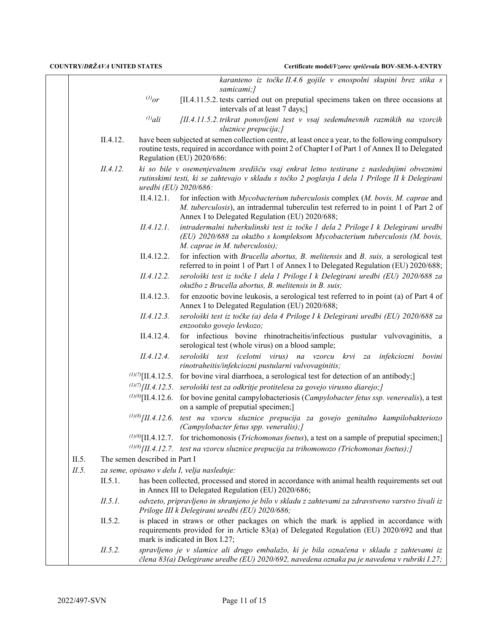|       |          |                               | karanteno iz točke II.4.6 gojile v enospolni skupini brez stika s<br>samicami;]                                                                                                                                                      |
|-------|----------|-------------------------------|--------------------------------------------------------------------------------------------------------------------------------------------------------------------------------------------------------------------------------------|
|       |          | $^{(l)}$ or                   | [II.4.11.5.2. tests carried out on preputial specimens taken on three occasions at<br>intervals of at least 7 days;]                                                                                                                 |
|       |          | $^{(l)}$ ali                  | [II.4.11.5.2. trikrat ponovljeni test v vsaj sedemdnevnih razmikih na vzorcih<br>sluznice prepucija;]                                                                                                                                |
|       | II.4.12. |                               | have been subjected at semen collection centre, at least once a year, to the following compulsory<br>routine tests, required in accordance with point 2 of Chapter I of Part 1 of Annex II to Delegated<br>Regulation (EU) 2020/686: |
|       | II.4.12. | uredbi (EU) 2020/686:         | ki so bile v osemenjevalnem središču vsaj enkrat letno testirane z naslednjimi obveznimi<br>rutinskimi testi, ki se zahtevajo v skladu s točko 2 poglavja I dela 1 Priloge II k Delegirani                                           |
|       |          | II.4.12.1.                    | for infection with Mycobacterium tuberculosis complex (M. bovis, M. caprae and<br>M. tuberculosis), an intradermal tuberculin test referred to in point 1 of Part 2 of<br>Annex I to Delegated Regulation (EU) 2020/688;             |
|       |          | II.4.12.1.                    | intradermalni tuberkulinski test iz točke 1 dela 2 Priloge I k Delegirani uredbi<br>(EU) 2020/688 za okužbo s kompleksom Mycobacterium tuberculosis (M. bovis,<br>M. caprae in M. tuberculosis);                                     |
|       |          | II.4.12.2.                    | for infection with Brucella abortus, B. melitensis and B. suis, a serological test<br>referred to in point 1 of Part 1 of Annex I to Delegated Regulation (EU) 2020/688;                                                             |
|       |          | II.4.12.2.                    | serološki test iz točke 1 dela 1 Priloge I k Delegirani uredbi (EU) 2020/688 za<br>okužbo z Brucella abortus, B. melitensis in B. suis;                                                                                              |
|       |          | II.4.12.3.                    | for enzootic bovine leukosis, a serological test referred to in point (a) of Part 4 of<br>Annex I to Delegated Regulation (EU) 2020/688;                                                                                             |
|       |          | II.4.12.3.                    | serološki test iz točke (a) dela 4 Priloge I k Delegirani uredbi (EU) 2020/688 za<br>enzootsko govejo levkozo;                                                                                                                       |
|       |          | II.4.12.4.                    | for infectious bovine rhinotracheitis/infectious pustular vulvovaginitis, a<br>serological test (whole virus) on a blood sample;                                                                                                     |
|       |          | II.4.12.4.                    | serološki test (celotni virus) na vzorcu krvi za infekciozni bovini<br>rinotraheitis/infekciozni pustularni vulvovaginitis;                                                                                                          |
|       |          |                               | $(1)(7)$ [II.4.12.5. for bovine viral diarrhoea, a serological test for detection of an antibody;]                                                                                                                                   |
|       |          |                               | $(1)(7)$ [II.4.12.5. serološki test za odkritje protitelesa za govejo virusno diarejo;]                                                                                                                                              |
|       |          |                               | $^{(1)(8)}$ [II.4.12.6. for bovine genital campylobacteriosis (Campylobacter fetus ssp. venerealis), a test<br>on a sample of preputial specimen;]                                                                                   |
|       |          |                               | $^{(1)(8)}$ [II.4.12.6. test na vzorcu sluznice prepucija za govejo genitalno kampilobakteriozo<br>(Campylobacter fetus spp. veneralis);]                                                                                            |
|       |          |                               | ( $\frac{1}{0}\%$ [II.4.12.7. for trichomonosis ( <i>Trichomonas foetus</i> ), a test on a sample of preputial specimen;                                                                                                             |
|       |          |                               | $^{(1)(8)}$ [II.4.12.7. test na vzorcu sluznice prepucija za trihomonozo (Trichomonas foetus); [                                                                                                                                     |
| II.5. |          | The semen described in Part I |                                                                                                                                                                                                                                      |
| II.5. |          |                               | za seme, opisano v delu I, velja naslednje:                                                                                                                                                                                          |
|       | II.5.1.  |                               | has been collected, processed and stored in accordance with animal health requirements set out<br>in Annex III to Delegated Regulation (EU) 2020/686;                                                                                |
|       | II.5.1.  |                               | odvzeto, pripravljeno in shranjeno je bilo v skladu z zahtevami za zdravstveno varstvo živali iz<br>Priloge III k Delegirani uredbi (EU) 2020/686;                                                                                   |
|       | II.5.2.  |                               | is placed in straws or other packages on which the mark is applied in accordance with<br>requirements provided for in Article 83(a) of Delegated Regulation (EU) 2020/692 and that<br>mark is indicated in Box I.27;                 |
|       | II.5.2.  |                               | spravljeno je v slamice ali drugo embalažo, ki je bila označena v skladu z zahtevami iz<br>člena 83(a) Delegirane uredbe (EU) 2020/692, navedena oznaka pa je navedena v rubriki I.27;                                               |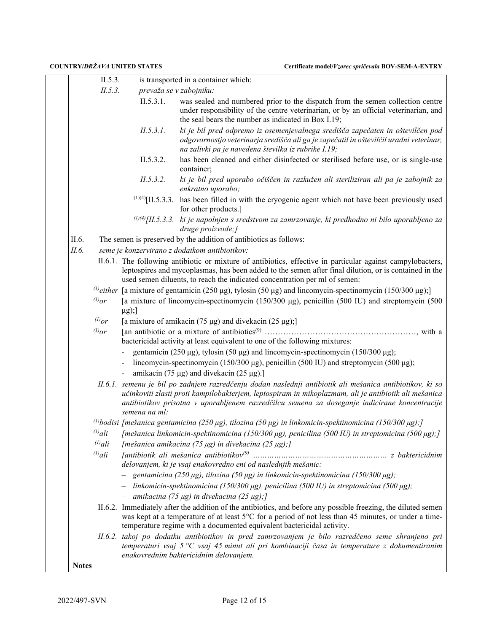|              | II.5.3.      |               | is transported in a container which:                                                                                                                                                                                                                                                                              |
|--------------|--------------|---------------|-------------------------------------------------------------------------------------------------------------------------------------------------------------------------------------------------------------------------------------------------------------------------------------------------------------------|
|              | II.5.3.      |               | prevaža se v zabojniku:                                                                                                                                                                                                                                                                                           |
|              |              | II.5.3.1.     | was sealed and numbered prior to the dispatch from the semen collection centre<br>under responsibility of the centre veterinarian, or by an official veterinarian, and<br>the seal bears the number as indicated in Box I.19;                                                                                     |
|              |              | II.5.3.1.     | ki je bil pred odpremo iz osemenjevalnega središča zapečaten in oštevilčen pod<br>odgovornostjo veterinarja središča ali ga je zapečatil in oštevilčil uradni veterinar,<br>na zalivki pa je navedena številka iz rubrike I.19;                                                                                   |
|              |              | II.5.3.2.     | has been cleaned and either disinfected or sterilised before use, or is single-use<br>container;                                                                                                                                                                                                                  |
|              |              | II.5.3.2.     | ki je bil pred uporabo očiščen in razkužen ali steriliziran ali pa je zabojnik za<br>enkratno uporabo;                                                                                                                                                                                                            |
|              |              |               | $^{(1)(4)}$ [II.5.3.3. has been filled in with the cryogenic agent which not have been previously used<br>for other products.]                                                                                                                                                                                    |
|              |              |               | $(1)(4)$ [II.5.3.3.] ki je napolnjen s sredstvom za zamrzovanje, ki predhodno ni bilo uporabljeno za<br>druge proizvode;]                                                                                                                                                                                         |
| II.6.        |              |               | The semen is preserved by the addition of antibiotics as follows:                                                                                                                                                                                                                                                 |
| II.6.        |              |               | seme je konzervirano z dodatkom antibiotikov:                                                                                                                                                                                                                                                                     |
|              |              |               | II.6.1. The following antibiotic or mixture of antibiotics, effective in particular against campylobacters,<br>leptospires and mycoplasmas, has been added to the semen after final dilution, or is contained in the<br>used semen diluents, to reach the indicated concentration per ml of semen:                |
|              |              |               | <sup>(1)</sup> either [a mixture of gentamicin (250 µg), tylosin (50 µg) and lincomycin-spectinomycin (150/300 µg);]                                                                                                                                                                                              |
|              | $^{(1)}$ or  | $\mu$ g);]    | [a mixture of lincomycin-spectinomycin (150/300 μg), penicillin (500 IU) and streptomycin (500                                                                                                                                                                                                                    |
|              | $^{(1)}$ or  |               | [a mixture of amikacin (75 $\mu$ g) and divekacin (25 $\mu$ g);]                                                                                                                                                                                                                                                  |
|              | $^{(1)}$ or  |               | bactericidal activity at least equivalent to one of the following mixtures:                                                                                                                                                                                                                                       |
|              |              |               | gentamicin (250 μg), tylosin (50 μg) and lincomycin-spectinomycin (150/300 μg);                                                                                                                                                                                                                                   |
|              |              |               | lincomycin-spectinomycin (150/300 μg), penicillin (500 IU) and streptomycin (500 μg);                                                                                                                                                                                                                             |
|              |              |               | amikacin (75 µg) and divekacin (25 µg).]                                                                                                                                                                                                                                                                          |
|              |              | semena na ml: | II.6.1. semenu je bil po zadnjem razredčenju dodan naslednji antibiotik ali mešanica antibiotikov, ki so<br>učinkoviti zlasti proti kampilobakterjem, leptospiram in mikoplazmam, ali je antibiotik ali mešanica<br>antibiotikov prisotna v uporabljenem razredčilcu semena za doseganje indicirane koncentracije |
|              |              |               | <sup>(1)</sup> bodisi [mešanica gentamicina (250 μg), tilozina (50 μg) in linkomicin-spektinomicina (150/300 μg);]                                                                                                                                                                                                |
|              | $^{(l)}$ ali |               | [mešanica linkomicin-spektinomicina (150/300 μg), penicilina (500 IU) in streptomicina (500 μg);]                                                                                                                                                                                                                 |
|              | $^{(l)}$ ali |               | [mešanica amikacina (75 µg) in divekacina (25 µg);]                                                                                                                                                                                                                                                               |
|              | $^{(1)}$ ali |               |                                                                                                                                                                                                                                                                                                                   |
|              |              |               | delovanjem, ki je vsaj enakovredno eni od naslednjih mešanic:                                                                                                                                                                                                                                                     |
|              |              |               | - gentamicina (250 µg), tilozina (50 µg) in linkomicin-spektinomicina (150/300 µg);                                                                                                                                                                                                                               |
|              |              |               | - linkomicin-spektinomicina (150/300 µg), penicilina (500 IU) in streptomicina (500 µg);                                                                                                                                                                                                                          |
|              |              |               | $-$ amikacina (75 µg) in divekacina (25 µg);]                                                                                                                                                                                                                                                                     |
|              |              |               | II.6.2. Immediately after the addition of the antibiotics, and before any possible freezing, the diluted semen<br>was kept at a temperature of at least 5°C for a period of not less than 45 minutes, or under a time-<br>temperature regime with a documented equivalent bactericidal activity.                  |
|              |              |               | II.6.2. takoj po dodatku antibiotikov in pred zamrzovanjem je bilo razredčeno seme shranjeno pri<br>temperaturi vsaj 5 $\degree$ C vsaj 45 minut ali pri kombinaciji časa in temperature z dokumentiranim<br>enakovrednim baktericidnim delovanjem.                                                               |
| <b>Notes</b> |              |               |                                                                                                                                                                                                                                                                                                                   |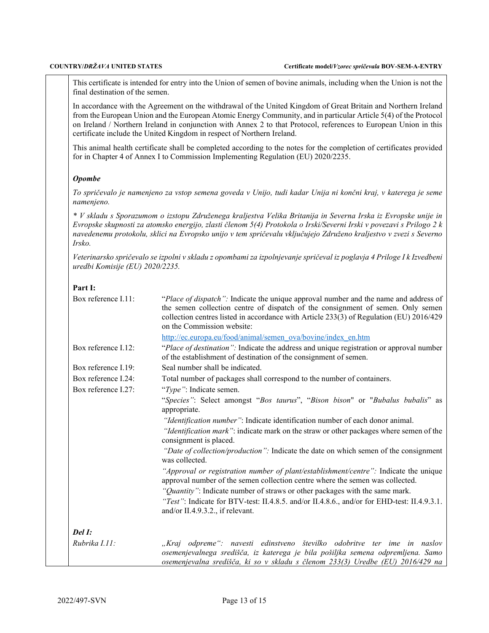This certificate is intended for entry into the Union of semen of bovine animals, including when the Union is not the final destination of the semen.

In accordance with the Agreement on the withdrawal of the United Kingdom of Great Britain and Northern Ireland from the European Union and the European Atomic Energy Community, and in particular Article 5(4) of the Protocol on Ireland / Northern Ireland in conjunction with Annex 2 to that Protocol, references to European Union in this certificate include the United Kingdom in respect of Northern Ireland.

This animal health certificate shall be completed according to the notes for the completion of certificates provided for in Chapter 4 of Annex I to Commission Implementing Regulation (EU) 2020/2235.

### *Opombe*

*To spričevalo je namenjeno za vstop semena goveda v Unijo, tudi kadar Unija ni končni kraj, v katerega je seme namenjeno.*

*\* V skladu s Sporazumom o izstopu Združenega kraljestva Velika Britanija in Severna Irska iz Evropske unije in Evropske skupnosti za atomsko energijo, zlasti členom 5(4) Protokola o Irski/Severni Irski v povezavi s Prilogo 2 k navedenemu protokolu, sklici na Evropsko unijo v tem spričevalu vključujejo Združeno kraljestvo v zvezi s Severno Irsko.*

*Veterinarsko spričevalo se izpolni v skladu z opombami za izpolnjevanje spričeval iz poglavja 4 Priloge I k Izvedbeni uredbi Komisije (EU) 2020/2235.*

## **Part I:**

| Box reference I.11: | "Place of dispatch": Indicate the unique approval number and the name and address of<br>the semen collection centre of dispatch of the consignment of semen. Only semen<br>collection centres listed in accordance with Article 233(3) of Regulation (EU) 2016/429<br>on the Commission website: |
|---------------------|--------------------------------------------------------------------------------------------------------------------------------------------------------------------------------------------------------------------------------------------------------------------------------------------------|
|                     | http://ec.europa.eu/food/animal/semen_ova/bovine/index_en.htm                                                                                                                                                                                                                                    |
| Box reference I.12: | "Place of destination": Indicate the address and unique registration or approval number<br>of the establishment of destination of the consignment of semen.                                                                                                                                      |
| Box reference I.19: | Seal number shall be indicated.                                                                                                                                                                                                                                                                  |
| Box reference I.24: | Total number of packages shall correspond to the number of containers.                                                                                                                                                                                                                           |
| Box reference I.27: | "Type": Indicate semen.                                                                                                                                                                                                                                                                          |
|                     | "Species": Select amongst "Bos taurus", "Bison bison" or "Bubalus bubalis" as<br>appropriate.                                                                                                                                                                                                    |
|                     | "Identification number": Indicate identification number of each donor animal.                                                                                                                                                                                                                    |
|                     | "Identification mark": indicate mark on the straw or other packages where semen of the<br>consignment is placed.                                                                                                                                                                                 |
|                     | "Date of collection/production": Indicate the date on which semen of the consignment<br>was collected.                                                                                                                                                                                           |
|                     | "Approval or registration number of plant/establishment/centre": Indicate the unique<br>approval number of the semen collection centre where the semen was collected.<br>"Quantity": Indicate number of straws or other packages with the same mark.                                             |
|                     | "Test": Indicate for BTV-test: II.4.8.5. and/or II.4.8.6., and/or for EHD-test: II.4.9.3.1.<br>and/or II.4.9.3.2., if relevant.                                                                                                                                                                  |
| $Del$ $I:$          |                                                                                                                                                                                                                                                                                                  |
| Rubrika I.11:       | "Kraj odpreme": navesti edinstveno številko odobritve ter ime in naslov<br>osemenjevalnega središča, iz katerega je bila pošiljka semena odpremljena. Samo<br>osemenjevalna središča, ki so v skladu s členom 233(3) Uredbe (EU) 2016/429 na                                                     |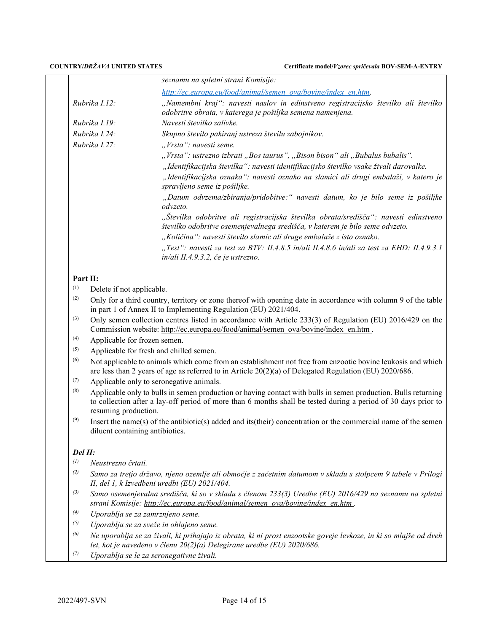**COUNTRY/***DRŽAVA* **UNITED STATES Certificate model/***Vzorec spričevala* **BOV-SEM-A-ENTRY**

|                   |                                                                                                                                                                                                                                                          | seznamu na spletni strani Komisije:                                                                                                                                  |  |
|-------------------|----------------------------------------------------------------------------------------------------------------------------------------------------------------------------------------------------------------------------------------------------------|----------------------------------------------------------------------------------------------------------------------------------------------------------------------|--|
|                   |                                                                                                                                                                                                                                                          | http://ec.europa.eu/food/animal/semen_ova/bovine/index_en.htm.                                                                                                       |  |
|                   | Rubrika I.12:                                                                                                                                                                                                                                            | "Namembni kraj": navesti naslov in edinstveno registracijsko številko ali številko<br>odobritve obrata, v katerega je pošiljka semena namenjena.                     |  |
|                   | Rubrika I.19:                                                                                                                                                                                                                                            | Navesti številko zalivke.                                                                                                                                            |  |
| Rubrika I.24:     |                                                                                                                                                                                                                                                          | Skupno število pakiranj ustreza številu zabojnikov.                                                                                                                  |  |
|                   | Rubrika I.27:                                                                                                                                                                                                                                            | "Vrsta": navesti seme.                                                                                                                                               |  |
|                   |                                                                                                                                                                                                                                                          | "Vrsta": ustrezno izbrati "Bos taurus", "Bison bison" ali "Bubalus bubalis".                                                                                         |  |
|                   |                                                                                                                                                                                                                                                          | "Identifikacijska številka": navesti identifikacijsko številko vsake živali darovalke.                                                                               |  |
|                   |                                                                                                                                                                                                                                                          | "Identifikacijska oznaka": navesti oznako na slamici ali drugi embalaži, v katero je<br>spravljeno seme iz pošiljke.                                                 |  |
|                   |                                                                                                                                                                                                                                                          | "Datum odvzema/zbiranja/pridobitve:" navesti datum, ko je bilo seme iz pošiljke<br>odvzeto.                                                                          |  |
|                   |                                                                                                                                                                                                                                                          | "Številka odobritve ali registracijska številka obrata/središča": navesti edinstveno<br>številko odobritve osemenjevalnega središča, v katerem je bilo seme odvzeto. |  |
|                   |                                                                                                                                                                                                                                                          | "Količina": navesti število slamic ali druge embalaže z isto oznako.                                                                                                 |  |
|                   |                                                                                                                                                                                                                                                          | "Test": navesti za test za BTV: II.4.8.5 in/ali II.4.8.6 in/ali za test za EHD: II.4.9.3.1<br>in/ali II.4.9.3.2, če je ustrezno.                                     |  |
| Part II:          |                                                                                                                                                                                                                                                          |                                                                                                                                                                      |  |
| (1)               | Delete if not applicable.                                                                                                                                                                                                                                |                                                                                                                                                                      |  |
| (2)               | Only for a third country, territory or zone thereof with opening date in accordance with column 9 of the table<br>in part 1 of Annex II to Implementing Regulation (EU) 2021/404.                                                                        |                                                                                                                                                                      |  |
| (3)               | Only semen collection centres listed in accordance with Article 233(3) of Regulation (EU) 2016/429 on the<br>Commission website: http://ec.europa.eu/food/animal/semen_ova/bovine/index_en.htm.                                                          |                                                                                                                                                                      |  |
| (4)               | Applicable for frozen semen.                                                                                                                                                                                                                             |                                                                                                                                                                      |  |
| (5)               | Applicable for fresh and chilled semen.                                                                                                                                                                                                                  |                                                                                                                                                                      |  |
| (6)               | Not applicable to animals which come from an establishment not free from enzootic bovine leukosis and which<br>are less than 2 years of age as referred to in Article $20(2)(a)$ of Delegated Regulation (EU) 2020/686.                                  |                                                                                                                                                                      |  |
| (7)               | Applicable only to seronegative animals.                                                                                                                                                                                                                 |                                                                                                                                                                      |  |
| (8)               | Applicable only to bulls in semen production or having contact with bulls in semen production. Bulls returning<br>to collection after a lay-off period of more than 6 months shall be tested during a period of 30 days prior to<br>resuming production. |                                                                                                                                                                      |  |
| (9)               | Insert the name(s) of the antibiotic(s) added and its (their) concentration or the commercial name of the semen<br>diluent containing antibiotics.                                                                                                       |                                                                                                                                                                      |  |
| Del II:           |                                                                                                                                                                                                                                                          |                                                                                                                                                                      |  |
| $\left( l\right)$ | Neustrezno črtati.                                                                                                                                                                                                                                       |                                                                                                                                                                      |  |
| (2)               | Samo za tretjo državo, njeno ozemlje ali območje z začetnim datumom v skladu s stolpcem 9 tabele v Prilogi<br>II, del 1, k Izvedbeni uredbi (EU) 2021/404.                                                                                               |                                                                                                                                                                      |  |
| (3)               | Samo osemenjevalna središča, ki so v skladu s členom 233(3) Uredbe (EU) 2016/429 na seznamu na spletni<br>strani Komisije: http://ec.europa.eu/food/animal/semen_ova/bovine/index_en.htm.                                                                |                                                                                                                                                                      |  |
| $\left(4\right)$  | Uporablja se za zamrznjeno seme.                                                                                                                                                                                                                         |                                                                                                                                                                      |  |
| (5)               |                                                                                                                                                                                                                                                          | Uporablja se za sveže in ohlajeno seme.                                                                                                                              |  |
| (6)               | Ne uporablja se za živali, ki prihajajo iz obrata, ki ni prost enzootske goveje levkoze, in ki so mlajše od dveh<br>let, kot je navedeno v členu 20(2)(a) Delegirane uredbe (EU) 2020/686.                                                               |                                                                                                                                                                      |  |
| (7)               | Uporablja se le za seronegativne živali.                                                                                                                                                                                                                 |                                                                                                                                                                      |  |
|                   |                                                                                                                                                                                                                                                          |                                                                                                                                                                      |  |